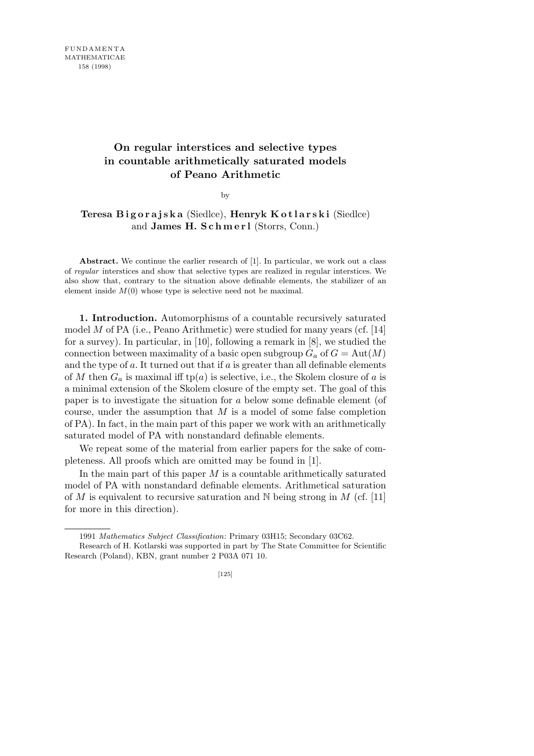## **On regular interstices and selective types in countable arithmetically saturated models of Peano Arithmetic**

by

## **Teresa Bigorajska** (Siedlce), **Henryk Kotlarski** (Siedlce) and **James H. S c h m e r l** (Storrs, Conn.)

**Abstract.** We continue the earlier research of [1]. In particular, we work out a class of *regular* interstices and show that selective types are realized in regular interstices. We also show that, contrary to the situation above definable elements, the stabilizer of an element inside  $M(0)$  whose type is selective need not be maximal.

**1. Introduction.** Automorphisms of a countable recursively saturated model *M* of PA (i.e., Peano Arithmetic) were studied for many years (cf. [14] for a survey). In particular, in [10], following a remark in [8], we studied the connection between maximality of a basic open subgroup  $G_a$  of  $G = Aut(M)$ and the type of *a*. It turned out that if *a* is greater than all definable elements of *M* then  $G_a$  is maximal iff tp(*a*) is selective, i.e., the Skolem closure of *a* is a minimal extension of the Skolem closure of the empty set. The goal of this paper is to investigate the situation for *a* below some definable element (of course, under the assumption that *M* is a model of some false completion of PA). In fact, in the main part of this paper we work with an arithmetically saturated model of PA with nonstandard definable elements.

We repeat some of the material from earlier papers for the sake of completeness. All proofs which are omitted may be found in [1].

In the main part of this paper *M* is a countable arithmetically saturated model of PA with nonstandard definable elements. Arithmetical saturation of *M* is equivalent to recursive saturation and N being strong in *M* (cf. [11] for more in this direction).

<sup>1991</sup> *Mathematics Subject Classification*: Primary 03H15; Secondary 03C62. Research of H. Kotlarski was supported in part by The State Committee for Scientific Research (Poland), KBN, grant number 2 P03A 071 10.

<sup>[125]</sup>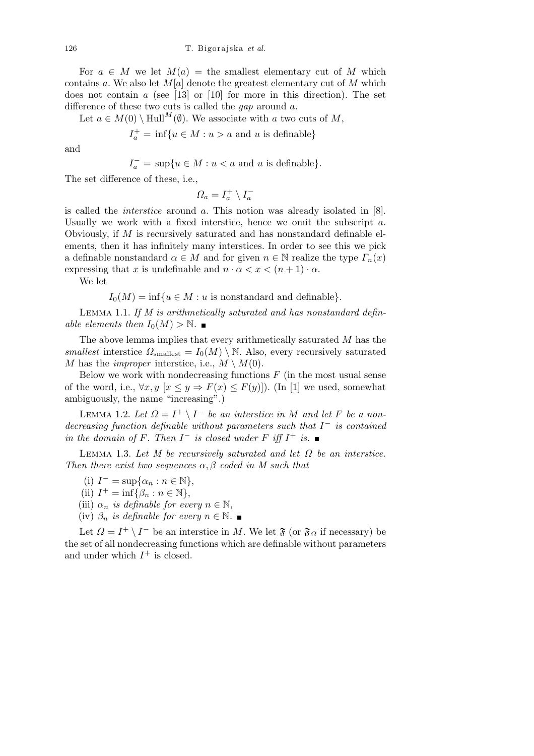For  $a \in M$  we let  $M(a) =$  the smallest elementary cut of M which contains *a*. We also let *M*[*a*] denote the greatest elementary cut of *M* which does not contain *a* (see [13] or [10] for more in this direction). The set difference of these two cuts is called the *gap* around *a*.

Let  $a \in M(0) \setminus \text{Hull}^M(\emptyset)$ . We associate with *a* two cuts of *M*,

$$
I_a^+ = \inf \{ u \in M : u > a \text{ and } u \text{ is definable} \}
$$

and

$$
I_a^- = \sup\{u \in M : u < a \text{ and } u \text{ is definable}\}.
$$

The set difference of these, i.e.,

 $\Omega_a = I_a^+ \setminus I_a^-$ 

is called the *interstice* around *a*. This notion was already isolated in [8]. Usually we work with a fixed interstice, hence we omit the subscript *a*. Obviously, if *M* is recursively saturated and has nonstandard definable elements, then it has infinitely many interstices. In order to see this we pick a definable nonstandard  $\alpha \in M$  and for given  $n \in \mathbb{N}$  realize the type  $\Gamma_n(x)$ expressing that *x* is undefinable and  $n \cdot \alpha < x < (n + 1) \cdot \alpha$ .

We let

 $I_0(M) = \inf \{ u \in M : u \text{ is nonstandard and definable } \}.$ 

Lemma 1.1. *If M is arithmetically saturated and has nonstandard definable elements then*  $I_0(M) > \mathbb{N}$ .

The above lemma implies that every arithmetically saturated *M* has the *smallest* interstice  $\Omega_{\text{smallest}} = I_0(M) \setminus \mathbb{N}$ . Also, every recursively saturated *M* has the *improper* interstice, i.e.,  $M \setminus M(0)$ .

Below we work with nondecreasing functions *F* (in the most usual sense of the word, i.e.,  $\forall x, y \ [x \leq y \Rightarrow F(x) \leq F(y)]$ ). (In [1] we used, somewhat ambiguously, the name "increasing".)

LEMMA 1.2. Let  $\Omega = I^+ \setminus I^-$  be an interstice in M and let F be a non*decreasing function definable without parameters such that I <sup>−</sup> is contained in the domain of*  $F$ *. Then*  $I^-$  *is closed under*  $F$  *iff*  $I^+$  *is.* 

Lemma 1.3. *Let M be recursively saturated and let Ω be an interstice. Then there exist two sequences α, β coded in M such that*

- $(I)^{-} = \sup\{\alpha_n : n \in \mathbb{N}\},\$
- (ii)  $I^+ = \inf \{ \beta_n : n \in \mathbb{N} \},\$
- (iii)  $\alpha_n$  *is definable for every*  $n \in \mathbb{N}$ ,
- (iv)  $\beta_n$  *is definable for every*  $n \in \mathbb{N}$ .

Let  $\Omega = I^+ \setminus I^-$  be an interstice in *M*. We let  $\mathfrak{F}$  (or  $\mathfrak{F}_\Omega$  if necessary) be the set of all nondecreasing functions which are definable without parameters and under which  $I^+$  is closed.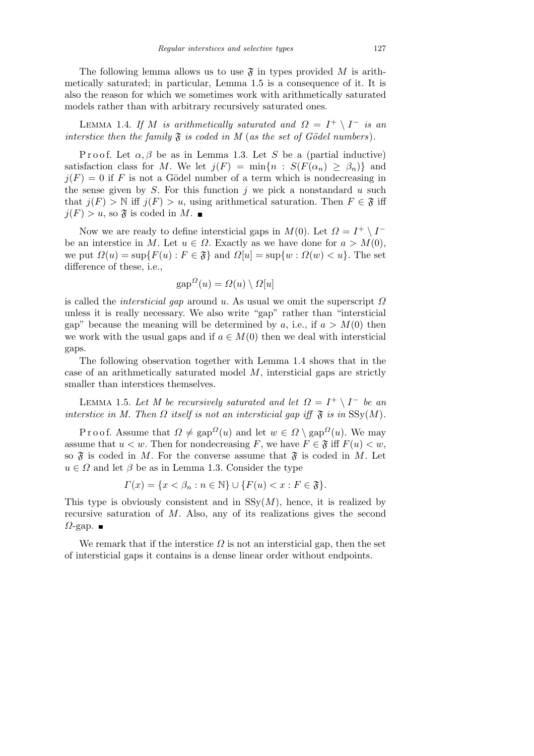The following lemma allows us to use  $\mathfrak F$  in types provided M is arithmetically saturated; in particular, Lemma 1.5 is a consequence of it. It is also the reason for which we sometimes work with arithmetically saturated models rather than with arbitrary recursively saturated ones.

LEMMA 1.4. *If M is arithmetically saturated and*  $\Omega = I^+ \setminus I^-$  *is an interstice then the family*  $\mathfrak F$  *is coded in M* (*as the set of Gödel numbers*).

Proof. Let  $\alpha, \beta$  be as in Lemma 1.3. Let *S* be a (partial inductive) satisfaction class for *M*. We let  $j(F) = \min\{n : S(F(\alpha_n) \geq \beta_n)\}\)$  and  $j(F) = 0$  if F is not a Gödel number of a term which is nondecreasing in the sense given by *S*. For this function *j* we pick a nonstandard *u* such that  $j(F) > \mathbb{N}$  iff  $j(F) > u$ , using arithmetical saturation. Then  $F \in \mathfrak{F}$  iff  $j(F) > u$ , so  $\mathfrak{F}$  is coded in M.

Now we are ready to define intersticial gaps in  $M(0)$ . Let  $\Omega = I^+ \setminus I^$ be an interstice in *M*. Let  $u \in \Omega$ . Exactly as we have done for  $a > M(0)$ , we put  $\Omega(u) = \sup\{F(u) : F \in \mathfrak{F}\}\$ and  $\Omega[u] = \sup\{w : \Omega(w) < u\}$ . The set difference of these, i.e.,

$$
gap^{\Omega}(u) = \Omega(u) \setminus \Omega[u]
$$

is called the *intersticial gap* around *u*. As usual we omit the superscript *Ω* unless it is really necessary. We also write "gap" rather than "intersticial gap" because the meaning will be determined by *a*, i.e., if  $a > M(0)$  then we work with the usual gaps and if  $a \in M(0)$  then we deal with intersticial gaps.

The following observation together with Lemma 1.4 shows that in the case of an arithmetically saturated model *M*, intersticial gaps are strictly smaller than interstices themselves.

LEMMA 1.5. Let M be recursively saturated and let  $\Omega = I^+ \setminus I^-$  be an *interstice in M. Then*  $\Omega$  *itself is not an intersticial gap iff*  $\mathfrak{F}$  *is in* SSy(*M*).

P r o o f. Assume that  $\Omega \neq \text{gap}^{\Omega}(u)$  and let  $w \in \Omega \setminus \text{gap}^{\Omega}(u)$ . We may assume that  $u < w$ . Then for nondecreasing *F*, we have  $F \in \mathfrak{F}$  iff  $F(u) < w$ , so  $\mathfrak F$  is coded in M. For the converse assume that  $\mathfrak F$  is coded in M. Let  $u \in \Omega$  and let  $\beta$  be as in Lemma 1.3. Consider the type

$$
\Gamma(x) = \{x < \beta_n : n \in \mathbb{N}\} \cup \{F(u) < x : F \in \mathfrak{F}\}.
$$

This type is obviously consistent and in  $SSy(M)$ , hence, it is realized by recursive saturation of *M*. Also, any of its realizations gives the second  $Ω$ -gap.  $\blacksquare$ 

We remark that if the interstice  $\Omega$  is not an intersticial gap, then the set of intersticial gaps it contains is a dense linear order without endpoints.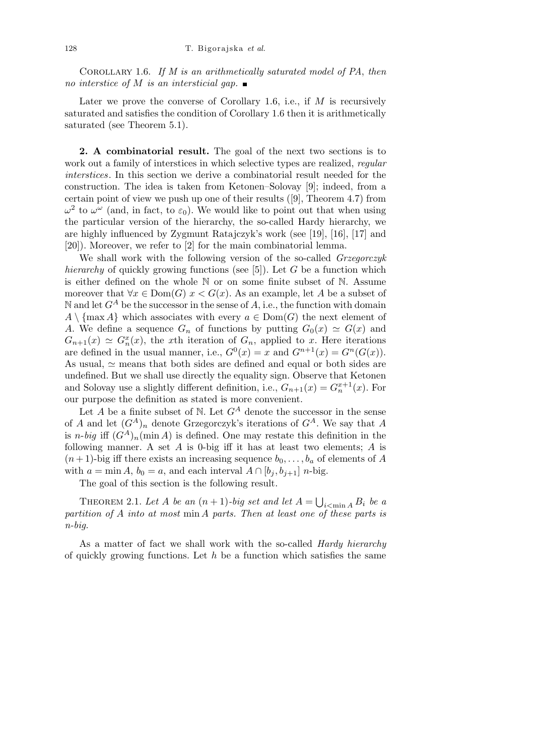Corollary 1.6. *If M is an arithmetically saturated model of PA*, *then no interstice of M is an intersticial gap.*

Later we prove the converse of Corollary 1.6, i.e., if M is recursively saturated and satisfies the condition of Corollary 1.6 then it is arithmetically saturated (see Theorem 5.1).

**2. A combinatorial result.** The goal of the next two sections is to work out a family of interstices in which selective types are realized, *regular interstices*. In this section we derive a combinatorial result needed for the construction. The idea is taken from Ketonen–Solovay [9]; indeed, from a certain point of view we push up one of their results ([9], Theorem 4.7) from  $ω<sup>2</sup>$  to  $ω<sup>ω</sup>$  (and, in fact, to  $\varepsilon_0$ ). We would like to point out that when using the particular version of the hierarchy, the so-called Hardy hierarchy, we are highly influenced by Zygmunt Ratajczyk's work (see [19], [16], [17] and [20]). Moreover, we refer to [2] for the main combinatorial lemma.

We shall work with the following version of the so-called *Grzegorczyk hierarchy* of quickly growing functions (see [5]). Let *G* be a function which is either defined on the whole N or on some finite subset of N. Assume moreover that  $\forall x \in \text{Dom}(G)$   $x < G(x)$ . As an example, let *A* be a subset of N and let  $G^A$  be the successor in the sense of A, i.e., the function with domain  $A \setminus \{ \max A \}$  which associates with every  $a \in Dom(G)$  the next element of *A*. We define a sequence  $G_n$  of functions by putting  $G_0(x) \simeq G(x)$  and  $G_{n+1}(x) \simeq G_n^x(x)$ , the *x*th iteration of  $G_n$ , applied to *x*. Here iterations are defined in the usual manner, i.e.,  $G^0(x) = x$  and  $G^{n+1}(x) = G^n(G(x))$ . As usual,  $\simeq$  means that both sides are defined and equal or both sides are undefined. But we shall use directly the equality sign. Observe that Ketonen and Solovay use a slightly different definition, i.e.,  $G_{n+1}(x) = G_n^{x+1}(x)$ . For our purpose the definition as stated is more convenient.

Let  $A$  be a finite subset of  $N$ . Let  $G^A$  denote the successor in the sense of *A* and let  $(G^A)_n$  denote Grzegorczyk's iterations of  $G^A$ . We say that *A* is *n*-*big* iff  $(G^A)_n$ (min *A*) is defined. One may restate this definition in the following manner. A set *A* is 0-big iff it has at least two elements; *A* is  $(n+1)$ -big iff there exists an increasing sequence  $b_0, \ldots, b_a$  of elements of *A* with  $a = \min A$ ,  $b_0 = a$ , and each interval  $A \cap [b_i, b_{i+1}]$  *n*-big.

The goal of this section is the following result.

THEOREM 2.1. Let A be an  $(n+1)$ -big set and let  $A =$ S  $i<$ min *A*  $B_i$  *be a partition of A into at most* min *A parts. Then at least one of these parts is n-big.*

As a matter of fact we shall work with the so-called *Hardy hierarchy* of quickly growing functions. Let *h* be a function which satisfies the same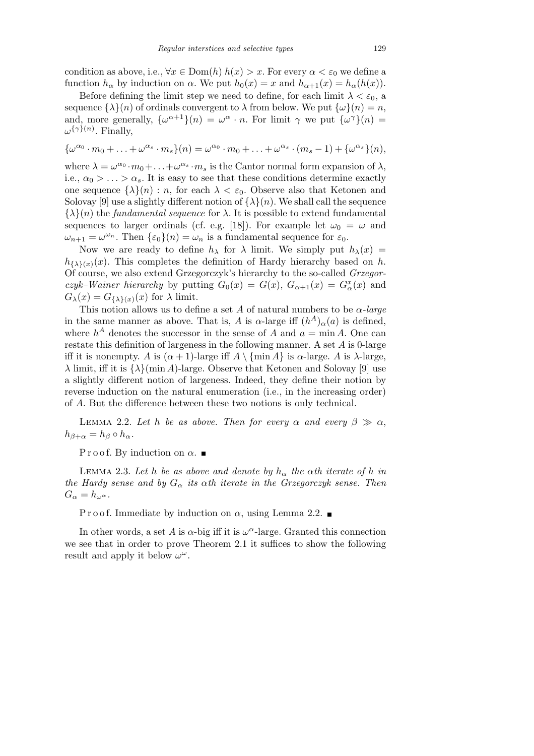condition as above, i.e.,  $\forall x \in \text{Dom}(h)$   $h(x) > x$ . For every  $\alpha < \varepsilon_0$  we define a function  $h_{\alpha}$  by induction on  $\alpha$ . We put  $h_0(x) = x$  and  $h_{\alpha+1}(x) = h_{\alpha}(h(x))$ .

Before defining the limit step we need to define, for each limit  $\lambda < \varepsilon_0$ , a sequence  $\{\lambda\}(n)$  of ordinals convergent to  $\lambda$  from below. We put  $\{\omega\}(n) = n$ , and, more generally,  $\{\omega^{\alpha+1}\}(n) = \omega^{\alpha} \cdot n$ . For limit  $\gamma$  we put  $\{\omega^{\gamma}\}(n) =$ *ω {γ}*(*n*) . Finally,

$$
\{\omega^{\alpha_0} \cdot m_0 + \ldots + \omega^{\alpha_s} \cdot m_s\}(n) = \omega^{\alpha_0} \cdot m_0 + \ldots + \omega^{\alpha_s} \cdot (m_s - 1) + \{\omega^{\alpha_s}\}(n),
$$

where  $\lambda = \omega^{\alpha_0} \cdot m_0 + \ldots + \omega^{\alpha_s} \cdot m_s$  is the Cantor normal form expansion of  $\lambda$ , i.e.,  $\alpha_0 > \ldots > \alpha_s$ . It is easy to see that these conditions determine exactly one sequence  $\{\lambda\}(n) : n$ , for each  $\lambda < \varepsilon_0$ . Observe also that Ketonen and Solovay [9] use a slightly different notion of  $\{\lambda\}(n)$ . We shall call the sequence  $\{\lambda\}(n)$  the *fundamental sequence* for  $\lambda$ . It is possible to extend fundamental sequences to larger ordinals (cf. e.g. [18]). For example let  $\omega_0 = \omega$  and  $\omega_{n+1} = \omega^{\omega_n}$ . Then  $\{\varepsilon_0\}(n) = \omega_n$  is a fundamental sequence for  $\varepsilon_0$ .

Now we are ready to define  $h_{\lambda}$  for  $\lambda$  limit. We simply put  $h_{\lambda}(x)$  =  $h_{\{\lambda\}(x)}(x)$ . This completes the definition of Hardy hierarchy based on *h*. Of course, we also extend Grzegorczyk's hierarchy to the so-called *Grzegorczyk–Wainer hierarchy* by putting  $G_0(x) = G(x)$ ,  $G_{\alpha+1}(x) = G_{\alpha}^x(x)$  and  $G_{\lambda}(x) = G_{\{\lambda\}(x)}(x)$  for  $\lambda$  limit.

This notion allows us to define a set A of natural numbers to be  $\alpha$ -large in the same manner as above. That is, *A* is *α*-large iff  $(h^A)_\alpha(a)$  is defined, where  $h^A$  denotes the successor in the sense of *A* and  $a = \min A$ . One can restate this definition of largeness in the following manner. A set *A* is 0-large iff it is nonempty. *A* is  $(\alpha + 1)$ -large iff  $A \setminus \{\min A\}$  is  $\alpha$ -large. *A* is  $\lambda$ -large, *λ* limit, iff it is  $\{\lambda\}$ (min *A*)-large. Observe that Ketonen and Solovay [9] use a slightly different notion of largeness. Indeed, they define their notion by reverse induction on the natural enumeration (i.e., in the increasing order) of *A*. But the difference between these two notions is only technical.

LEMMA 2.2. Let *h* be as above. Then for every  $\alpha$  and every  $\beta \gg \alpha$ ,  $h_{\beta+\alpha} = h_{\beta} \circ h_{\alpha}$ .

P r o o f. By induction on  $\alpha$ .

LEMMA 2.3. Let *h* be as above and denote by  $h_{\alpha}$  the  $\alpha$ th iterate of *h* in *the Hardy sense and by*  $G_{\alpha}$  *its*  $\alpha$ *th iterate in the Grzegorczyk sense. Then*  $G_{\alpha} = h_{\omega^{\alpha}}.$ 

P r o o f. Immediate by induction on  $\alpha$ , using Lemma 2.2.

In other words, a set *A* is  $\alpha$ -big iff it is  $\omega^{\alpha}$ -large. Granted this connection we see that in order to prove Theorem 2.1 it suffices to show the following result and apply it below  $\omega^{\omega}$ .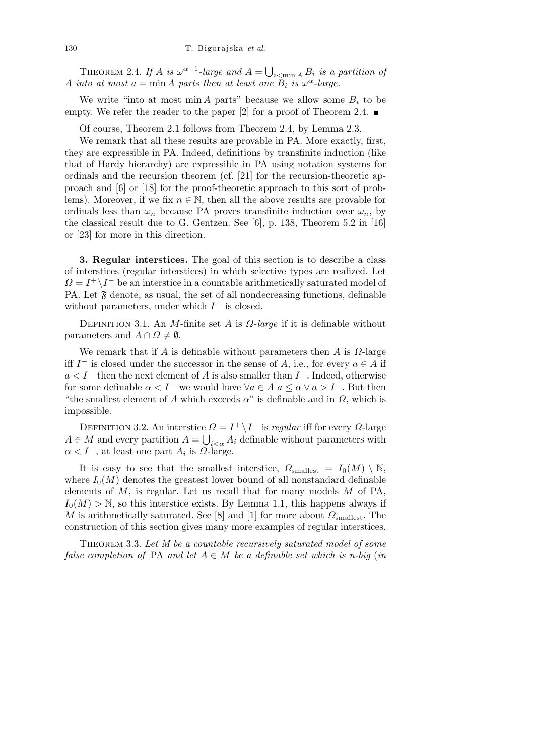THEOREM 2.4. *If A is*  $\omega^{\alpha+1}$ *-large and*  $A = \bigcup$  $i<sub>i</sub> <$ min *A*  $B_i$  *is a partition of A into at most*  $a = \min A$  *parts then at least one*  $B_i$  *is*  $\omega^{\alpha}$ -large.

We write "into at most min *A* parts" because we allow some  $B_i$  to be empty. We refer the reader to the paper [2] for a proof of Theorem 2.4.  $\blacksquare$ 

Of course, Theorem 2.1 follows from Theorem 2.4, by Lemma 2.3.

We remark that all these results are provable in PA. More exactly, first, they are expressible in PA. Indeed, definitions by transfinite induction (like that of Hardy hierarchy) are expressible in PA using notation systems for ordinals and the recursion theorem (cf. [21] for the recursion-theoretic approach and [6] or [18] for the proof-theoretic approach to this sort of problems). Moreover, if we fix  $n \in \mathbb{N}$ , then all the above results are provable for ordinals less than  $\omega_n$  because PA proves transfinite induction over  $\omega_n$ , by the classical result due to G. Gentzen. See [6], p. 138, Theorem 5.2 in [16] or [23] for more in this direction.

**3. Regular interstices.** The goal of this section is to describe a class of interstices (regular interstices) in which selective types are realized. Let  $Q = I^+ \setminus I^-$  be an interstice in a countable arithmetically saturated model of PA. Let  $\mathfrak F$  denote, as usual, the set of all nondecreasing functions, definable without parameters, under which *I <sup>−</sup>* is closed.

Definition 3.1. An *M*-finite set *A* is *Ω*-*large* if it is definable without parameters and  $A \cap \Omega \neq \emptyset$ .

We remark that if *A* is definable without parameters then *A* is *Ω*-large iff *I*<sup>−</sup> is closed under the successor in the sense of *A*, i.e., for every  $a \in A$  if *a < I<sup>−</sup>* then the next element of *A* is also smaller than *I <sup>−</sup>*. Indeed, otherwise for some definable  $\alpha < I^-$  we would have  $\forall a \in A$   $a \leq \alpha \lor a > I^-$ . But then "the smallest element of *A* which exceeds  $\alpha$ " is definable and in  $\Omega$ , which is impossible.

DEFINITION 3.2. An interstice  $Ω = I^+ \setminus I^-$  is *regular* iff for every  $Ω$ -large  $A \in M$  and every partition  $A = \bigcup_{i < \alpha} A_i$  definable without parameters with  $\alpha < I^-$ , at least one part  $A_i$  is  $\Omega$ -large.

It is easy to see that the smallest interstice,  $\Omega_{\text{smallest}} = I_0(M) \setminus \mathbb{N}$ , where  $I_0(M)$  denotes the greatest lower bound of all nonstandard definable elements of *M*, is regular. Let us recall that for many models *M* of PA,  $I_0(M) > N$ , so this interstice exists. By Lemma 1.1, this happens always if *M* is arithmetically saturated. See [8] and [1] for more about  $\Omega_{\text{smallest}}$ . The construction of this section gives many more examples of regular interstices.

Theorem 3.3. *Let M be a countable recursively saturated model of some false completion of* PA *and let*  $A \in M$  *be a definable set which is n-big* (*in*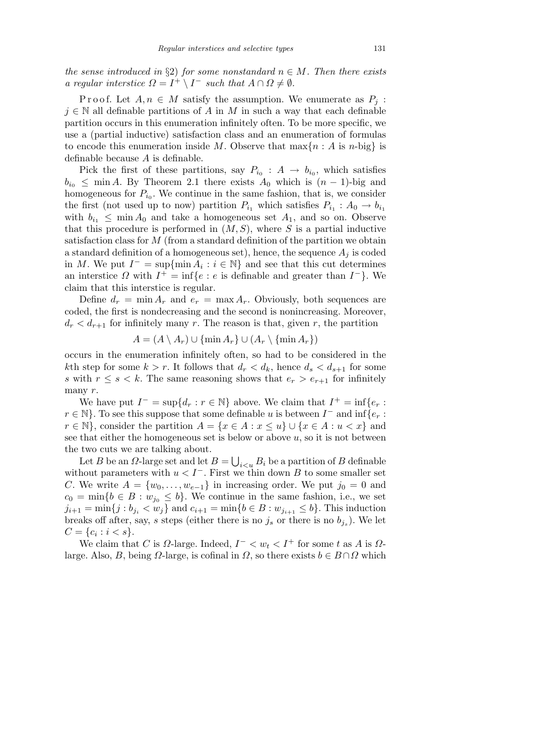*the sense introduced in*  $\S2$ *) for some nonstandard*  $n \in M$ *. Then there exists a* regular interstice  $\Omega = I^+ \setminus I^-$  such that  $A \cap \Omega \neq \emptyset$ .

Proof. Let  $A, n \in M$  satisfy the assumption. We enumerate as  $P_i$ :  $j \in \mathbb{N}$  all definable partitions of *A* in *M* in such a way that each definable partition occurs in this enumeration infinitely often. To be more specific, we use a (partial inductive) satisfaction class and an enumeration of formulas to encode this enumeration inside *M*. Observe that  $\max\{n : A \text{ is } n\text{-big}\}\$ definable because *A* is definable.

Pick the first of these partitions, say  $P_{i_0}: A \rightarrow b_{i_0}$ , which satisfies  $b_{i_0} \leq \min A$ . By Theorem 2.1 there exists  $A_0$  which is  $(n-1)$ -big and homogeneous for  $P_{i_0}$ . We continue in the same fashion, that is, we consider the first (not used up to now) partition  $P_{i_1}$  which satisfies  $P_{i_1}$ :  $A_0 \rightarrow b_{i_1}$ with  $b_{i_1} \leq \min A_0$  and take a homogeneous set  $A_1$ , and so on. Observe that this procedure is performed in (*M, S*), where *S* is a partial inductive satisfaction class for *M* (from a standard definition of the partition we obtain a standard definition of a homogeneous set), hence, the sequence  $A_i$  is coded in *M*. We put  $I^- = \sup\{\min A_i : i \in \mathbb{N}\}\$ and see that this cut determines an interstice  $\Omega$  with  $I^+ = \inf\{e : e \text{ is definable and greater than } I^-\}$ . We claim that this interstice is regular.

Define  $d_r = \min A_r$  and  $e_r = \max A_r$ . Obviously, both sequences are coded, the first is nondecreasing and the second is nonincreasing. Moreover,  $d_r < d_{r+1}$  for infinitely many *r*. The reason is that, given *r*, the partition

$$
A = (A \setminus A_r) \cup \{\min A_r\} \cup (A_r \setminus \{\min A_r\})
$$

occurs in the enumeration infinitely often, so had to be considered in the *k*th step for some  $k > r$ . It follows that  $d_r < d_k$ , hence  $d_s < d_{s+1}$  for some *s* with  $r \leq s \leq k$ . The same reasoning shows that  $e_r > e_{r+1}$  for infinitely many *r*.

We have put  $I^- = \sup\{d_r : r \in \mathbb{N}\}\$ above. We claim that  $I^+ = \inf\{e_r :$  $r \in \mathbb{N}$ . To see this suppose that some definable *u* is between  $I^-$  and  $\inf\{e_r : f\}$ *r*  $\in$  N}, consider the partition *A* = {*x*  $\in$  *A* : *x*  $\leq$  *u*}  $\cup$  {*x*  $\in$  *A* : *u*  $\lt$  *x*} and see that either the homogeneous set is below or above *u*, so it is not between the two cuts we are talking about. S

Let *B* be an  $\Omega$ -large set and let  $B =$  $i<sub>i</sub> <sub>i</sub> B<sub>i</sub>$  be a partition of *B* definable without parameters with  $u < I^-$ . First we thin down *B* to some smaller set *C*. We write  $A = \{w_0, \ldots, w_{e-1}\}\$ in increasing order. We put  $j_0 = 0$  and  $c_0 = \min\{b \in B : w_{j_0} \leq b\}$ . We continue in the same fashion, i.e., we set  $j_{i+1} = \min\{j : b_{j_i} < w_j\}$  and  $c_{i+1} = \min\{b \in B : w_{j_{i+1}} \leq b\}$ . This induction breaks off after, say, *s* steps (either there is no  $j_s$  or there is no  $b_{j_s}$ ). We let  $C = \{c_i : i < s\}.$ 

We claim that *C* is  $\Omega$ -large. Indeed,  $I^- < w_t < I^+$  for some *t* as *A* is  $\Omega$ large. Also, *B*, being *Ω*-large, is cofinal in *Ω*, so there exists  $b \in B \cap \Omega$  which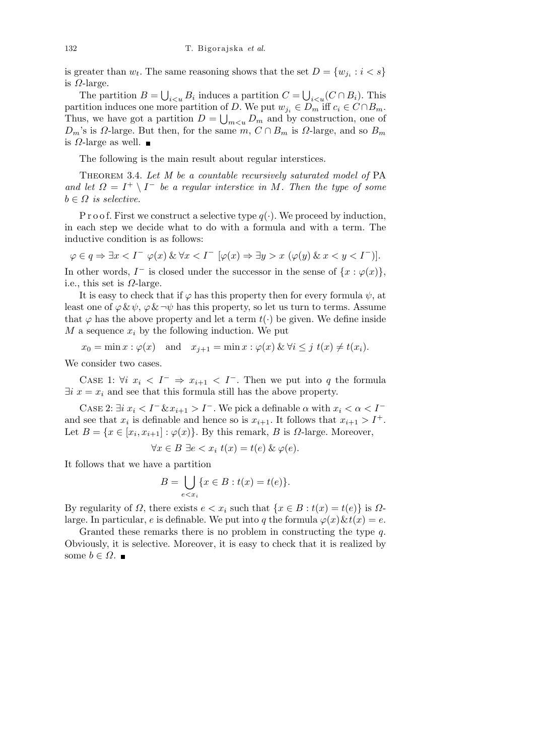is greater than  $w_t$ . The same reasoning shows that the set  $D = \{w_{j_i} : i < s\}$ is *Ω*-large. S S

The partition  $B =$  $i_{\le u} B_i$  induces a partition  $C =$  $i < u$ <sup>(*C*</sup> ∩ *B*<sub>*i*</sub>). This partition induces one more partition of *D*. We put  $w_{j_i} \in D_m$  iff  $c_i \in C \cap B_m$ . Thus, we have got a partition  $D = \bigcup_{m \leq u} D_m$  and by construction, one of  $D_m$ 's is  $\Omega$ -large. But then, for the same  $m, C \cap B_m$  is  $\Omega$ -large, and so  $B_m$ is *Ω*-large as well.

The following is the main result about regular interstices.

Theorem 3.4. *Let M be a countable recursively saturated model of* PA *and let*  $\Omega = I^+ \setminus I^-$  *be a regular interstice in M. Then the type of some*  $b \in \Omega$  *is selective.* 

P r o o f. First we construct a selective type  $q(\cdot)$ . We proceed by induction, in each step we decide what to do with a formula and with a term. The inductive condition is as follows:

 $\varphi \in q \Rightarrow \exists x < I^ \varphi(x) \& \forall x < I^ [\varphi(x) \Rightarrow \exists y > x \ (\varphi(y) \& x < y < I^-)]$ .

In other words,  $I^-$  is closed under the successor in the sense of  $\{x : \varphi(x)\},\$ i.e., this set is *Ω*-large.

It is easy to check that if  $\varphi$  has this property then for every formula  $\psi$ , at least one of  $\varphi \& \psi$ ,  $\varphi \& \neg \psi$  has this property, so let us turn to terms. Assume that  $\varphi$  has the above property and let a term  $t(\cdot)$  be given. We define inside *M* a sequence  $x_i$  by the following induction. We put

 $x_0 = \min x : \varphi(x) \text{ and } x_{j+1} = \min x : \varphi(x) \& \forall i \leq j \ t(x) \neq t(x_i).$ 

We consider two cases.

CASE 1:  $\forall i$   $x_i \leq I^- \Rightarrow x_{i+1} \leq I^-$ . Then we put into q the formula  $\exists i \ x = x_i$  and see that this formula still has the above property.

Case 2:  $\exists i \ x_i \leq I^- \& x_{i+1} > I^-$ . We pick a definable  $\alpha$  with  $x_i \leq \alpha \leq I^$ and see that  $x_i$  is definable and hence so is  $x_{i+1}$ . It follows that  $x_{i+1} > I^+$ . Let  $B = \{x \in [x_i, x_{i+1}] : \varphi(x)\}\$ . By this remark, *B* is *Ω*-large. Moreover,

$$
\forall x \in B \; \exists e < x_i \; t(x) = t(e) \; \& \; \varphi(e).
$$

It follows that we have a partition

$$
B = \bigcup_{e < x_i} \{ x \in B : t(x) = t(e) \}.
$$

By regularity of *Ω*, there exists  $e < x_i$  such that  $\{x \in B : t(x) = t(e)\}\$  is  $Ω$ large. In particular, *e* is definable. We put into *q* the formula  $\varphi(x) \& t(x) = e$ .

Granted these remarks there is no problem in constructing the type *q*. Obviously, it is selective. Moreover, it is easy to check that it is realized by some *b*  $\in$  *Ω*. ■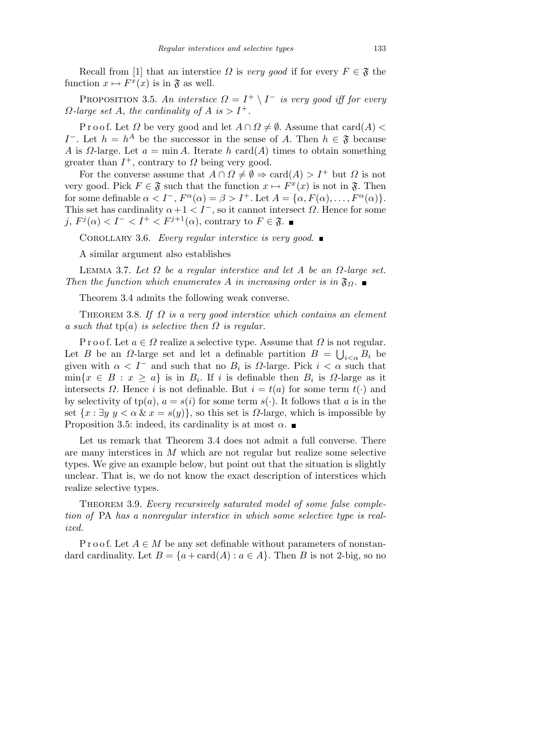Recall from [1] that an interstice *Ω* is *very good* if for every  $F \in \mathfrak{F}$  the function  $x \mapsto F^x(x)$  is in  $\mathfrak{F}$  as well.

PROPOSITION 3.5. An interstice  $\Omega = I^+ \setminus I^-$  is very good iff for every  $\Omega$ -*large set A*, *the cardinality of A is*  $> I^+$ *.* 

P r o o f. Let  $\Omega$  be very good and let  $A \cap \Omega \neq \emptyset$ . Assume that card( $A$ ) < *I*<sup> $-$ </sup>. Let *h* = *h*<sup>*A*</sup> be the successor in the sense of *A*. Then *h*  $\in \mathfrak{F}$  because *A* is *Ω*-large. Let  $a = \min A$ . Iterate  $h$  card( $A$ ) times to obtain something greater than  $I^+$ , contrary to  $\Omega$  being very good.

For the converse assume that  $A \cap \Omega \neq \emptyset \Rightarrow \text{card}(A) > I^+$  but  $\Omega$  is not very good. Pick  $F \in \mathfrak{F}$  such that the function  $x \mapsto F^x(x)$  is not in  $\mathfrak{F}$ . Then for some definable  $\alpha < I^-$ ,  $F^{\alpha}(\alpha) = \beta > I^+$ . Let  $A = {\alpha, F(\alpha), \dots, F^{\alpha}(\alpha)}$ . This set has cardinality  $\alpha + 1 < I^-$ , so it cannot intersect  $\Omega$ . Hence for some *j*,  $F^j(\alpha) < I^- < I^+ < F^{j+1}(\alpha)$ , contrary to  $F \in \mathfrak{F}$ .

Corollary 3.6. *Every regular interstice is very good.*

A similar argument also establishes

Lemma 3.7. *Let Ω be a regular interstice and let A be an Ω-large set. Then the function which enumerates A in increasing order is in*  $\mathfrak{F}_{\Omega}$ .

Theorem 3.4 admits the following weak converse.

Theorem 3.8. *If Ω is a very good interstice which contains an element a such that*  $tp(a)$  *is selective then*  $\Omega$  *is regular.* 

P r o o f. Let  $a \in \Omega$  realize a selective type. Assume that  $\Omega$  is not regular. Let *B* be an *Ω*-large set and let a definable partition  $B = \bigcup_{i < \alpha} B_i$  be given with  $\alpha < I^-$  and such that no  $B_i$  is  $\Omega$ -large. Pick  $i < \alpha$  such that  $\min\{x \in B : x \ge a\}$  is in  $B_i$ . If *i* is definable then  $B_i$  is  $\Omega$ -large as it intersects *Ω*. Hence *i* is not definable. But  $i = t(a)$  for some term  $t(\cdot)$  and by selectivity of  $tp(a)$ ,  $a = s(i)$  for some term  $s(\cdot)$ . It follows that *a* is in the set  $\{x : \exists y \ y < \alpha \ \& \ x = s(y)\}\$ , so this set is  $\Omega$ -large, which is impossible by Proposition 3.5: indeed, its cardinality is at most  $\alpha$ .

Let us remark that Theorem 3.4 does not admit a full converse. There are many interstices in *M* which are not regular but realize some selective types. We give an example below, but point out that the situation is slightly unclear. That is, we do not know the exact description of interstices which realize selective types.

THEOREM 3.9. *Every recursively saturated model of some false completion of* PA *has a nonregular interstice in which some selective type is realized.*

P r o o f. Let  $A \in M$  be any set definable without parameters of nonstandard cardinality. Let  $B = \{a + \text{card}(A) : a \in A\}$ . Then *B* is not 2-big, so no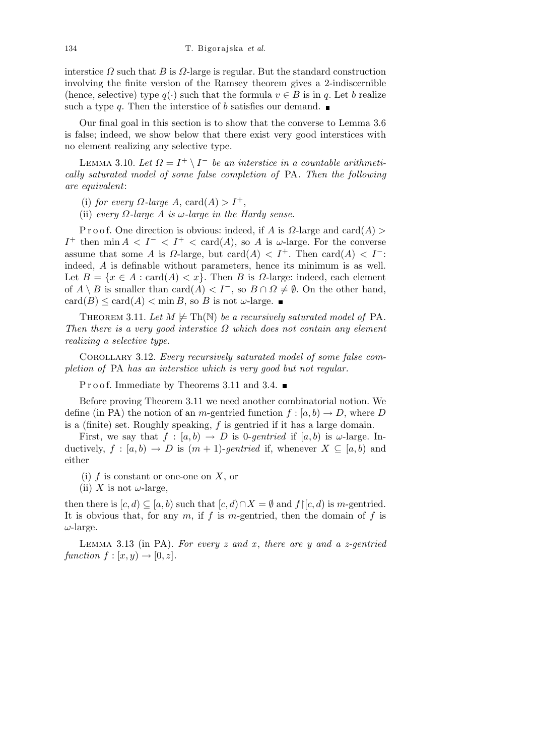interstice  $\Omega$  such that  $B$  is  $\Omega$ -large is regular. But the standard construction involving the finite version of the Ramsey theorem gives a 2-indiscernible (hence, selective) type  $q(\cdot)$  such that the formula  $v \in B$  is in q. Let b realize such a type *q*. Then the interstice of *b* satisfies our demand.

Our final goal in this section is to show that the converse to Lemma 3.6 is false; indeed, we show below that there exist very good interstices with no element realizing any selective type.

LEMMA 3.10. Let  $\Omega = I^+ \setminus I^-$  be an interstice in a countable arithmeti*cally saturated model of some false completion of* PA*. Then the following are equivalent*:

(i) *for every*  $\Omega$ *-large*  $A$ , card $(A) > I^+$ ,

(ii) *every Ω-large A is ω-large in the Hardy sense.*

P r o o f. One direction is obvious: indeed, if *A* is *Ω*-large and card(*A*) *> I*<sup>+</sup> then min  $A < I^- < I^+ < \text{card}(A)$ , so *A* is *ω*-large. For the converse assume that some *A* is *D*-large, but card(*A*)  $\lt I^+$ . Then card(*A*)  $\lt I^-$ : indeed, *A* is definable without parameters, hence its minimum is as well. Let  $B = \{x \in A : \text{card}(A) < x\}$ . Then *B* is *Ω*-large: indeed, each element of  $A \setminus B$  is smaller than card $(A) < I^-$ , so  $B \cap \Omega \neq \emptyset$ . On the other hand,  $card(B) \leq card(A) < min B$ , so *B* is not *ω*-large.

THEOREM 3.11. Let  $M \not\models Th(N)$  be a recursively saturated model of PA. *Then there is a very good interstice Ω which does not contain any element realizing a selective type.*

Corollary 3.12. *Every recursively saturated model of some false completion of* PA *has an interstice which is very good but not regular.*

P r o o f. Immediate by Theorems 3.11 and 3.4.  $\blacksquare$ 

Before proving Theorem 3.11 we need another combinatorial notion. We define (in PA) the notion of an *m*-gentried function  $f : [a, b) \to D$ , where *D* is a (finite) set. Roughly speaking, *f* is gentried if it has a large domain.

First, we say that  $f : [a, b) \rightarrow D$  is 0-*gentried* if  $[a, b)$  is  $\omega$ -large. Inductively,  $f : [a, b] \rightarrow D$  is  $(m + 1)$ -gentried if, whenever  $X \subseteq [a, b]$  and either

- (i) *f* is constant or one-one on *X*, or
- (ii) *X* is not  $\omega$ -large,

then there is  $[c, d) \subseteq [a, b)$  such that  $[c, d) \cap X = \emptyset$  and  $f \mid [c, d)$  is *m*-gentried. It is obvious that, for any *m*, if *f* is *m*-gentried, then the domain of *f* is *ω*-large.

Lemma 3.13 (in PA). *For every z and x* , *there are y and a z-gentried*  $function f: [x, y) \rightarrow [0, z]$ .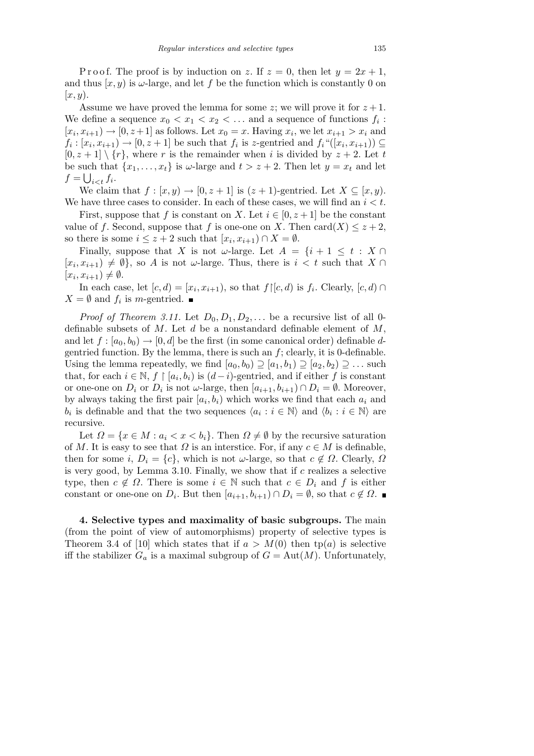P r o o f. The proof is by induction on *z*. If  $z = 0$ , then let  $y = 2x + 1$ , and thus  $(x, y)$  is  $\omega$ -large, and let f be the function which is constantly 0 on [*x, y*).

Assume we have proved the lemma for some *z*; we will prove it for  $z + 1$ . We define a sequence  $x_0 < x_1 < x_2 < \dots$  and a sequence of functions  $f_i$ :  $[x_i, x_{i+1}) \rightarrow [0, z+1]$  as follows. Let  $x_0 = x$ . Having  $x_i$ , we let  $x_{i+1} > x_i$  and  $f_i: [x_i, x_{i+1}) \to [0, z+1]$  be such that  $f_i$  is *z*-gentried and  $f_i$ " $([x_i, x_{i+1}) \subseteq$  $[0, z + 1] \setminus \{r\}$ , where *r* is the remainder when *i* is divided by  $z + 2$ . Let *t* be such that  $\{x_1, \ldots, x_t\}$  is  $\omega$ -large and  $t > z + 2$ . Then let  $y = x_t$  and let  $f = \bigcup_{i < t} f_i$ .

We claim that  $f : [x, y) \rightarrow [0, z + 1]$  is  $(z + 1)$ -gentried. Let  $X \subseteq [x, y)$ . We have three cases to consider. In each of these cases, we will find an *i < t*.

First, suppose that *f* is constant on *X*. Let  $i \in [0, z+1]$  be the constant value of *f*. Second, suppose that *f* is one-one on *X*. Then card(*X*)  $\leq z + 2$ , so there is some  $i \leq z + 2$  such that  $[x_i, x_{i+1}) \cap X = \emptyset$ .

Finally, suppose that *X* is not *ω*-large. Let  $A = \{i + 1 \leq t : X \cap$  $[x_i, x_{i+1}) \neq \emptyset$ , so *A* is not *ω*-large. Thus, there is  $i < t$  such that  $X \cap$  $[x_i, x_{i+1}) \neq \emptyset$ .

In each case, let  $[c, d) = [x_i, x_{i+1})$ , so that  $f|[c, d)$  is  $f_i$ . Clearly,  $[c, d) \cap$  $X = \emptyset$  and  $f_i$  is *m*-gentried.

*Proof of Theorem 3.11.* Let  $D_0, D_1, D_2, \ldots$  be a recursive list of all 0definable subsets of *M*. Let *d* be a nonstandard definable element of *M*, and let  $f : [a_0, b_0) \rightarrow [0, d]$  be the first (in some canonical order) definable *d*gentried function. By the lemma, there is such an *f*; clearly, it is 0-definable. Using the lemma repeatedly, we find  $[a_0, b_0] \supseteq [a_1, b_1] \supseteq [a_2, b_2] \supseteq \ldots$  such that, for each  $i \in \mathbb{N}$ ,  $f \restriction [a_i, b_i)$  is  $(d-i)$ -gentried, and if either  $f$  is constant or one-one on  $D_i$  or  $D_i$  is not  $\omega$ -large, then  $[a_{i+1}, b_{i+1}) \cap D_i = \emptyset$ . Moreover, by always taking the first pair  $[a_i, b_i]$  which works we find that each  $a_i$  and *b*<sub>*i*</sub> is definable and that the two sequences  $\langle a_i : i \in \mathbb{N} \rangle$  and  $\langle b_i : i \in \mathbb{N} \rangle$  are recursive.

Let  $\Omega = \{x \in M : a_i \leq x \leq b_i\}$ . Then  $\Omega \neq \emptyset$  by the recursive saturation of *M*. It is easy to see that *Ω* is an interstice. For, if any  $c \in M$  is definable, then for some *i*,  $D_i = \{c\}$ , which is not *ω*-large, so that  $c \notin \Omega$ . Clearly,  $\Omega$ is very good, by Lemma 3.10. Finally, we show that if *c* realizes a selective type, then  $c \notin \Omega$ . There is some  $i \in \mathbb{N}$  such that  $c \in D_i$  and f is either constant or one-one on  $D_i$ . But then  $[a_{i+1}, b_{i+1}) \cap D_i = \emptyset$ , so that  $c \notin \Omega$ .

**4. Selective types and maximality of basic subgroups.** The main (from the point of view of automorphisms) property of selective types is Theorem 3.4 of [10] which states that if  $a > M(0)$  then tp(*a*) is selective iff the stabilizer  $G_a$  is a maximal subgroup of  $G = Aut(M)$ . Unfortunately,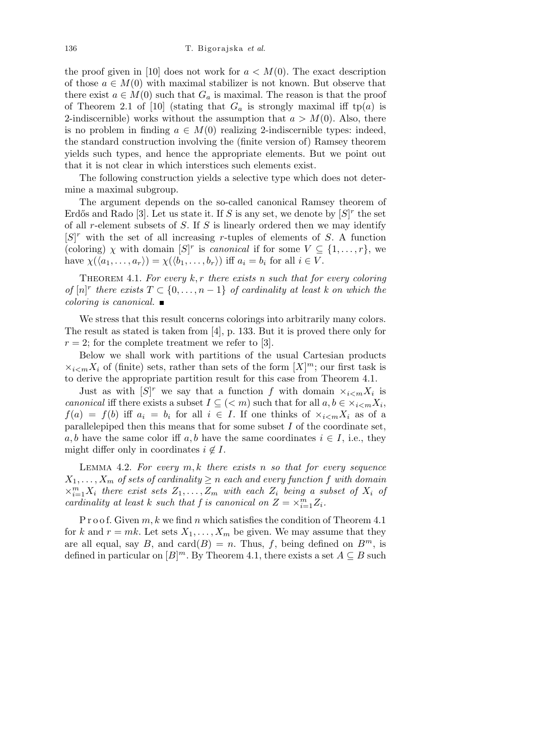the proof given in [10] does not work for  $a < M(0)$ . The exact description of those  $a \in M(0)$  with maximal stabilizer is not known. But observe that there exist  $a \in M(0)$  such that  $G_a$  is maximal. The reason is that the proof of Theorem 2.1 of [10] (stating that  $G_a$  is strongly maximal iff tp(*a*) is 2-indiscernible) works without the assumption that  $a > M(0)$ . Also, there is no problem in finding  $a \in M(0)$  realizing 2-indiscernible types: indeed, the standard construction involving the (finite version of) Ramsey theorem yields such types, and hence the appropriate elements. But we point out that it is not clear in which interstices such elements exist.

The following construction yields a selective type which does not determine a maximal subgroup.

The argument depends on the so-called canonical Ramsey theorem of Erdős and Rado [3]. Let us state it. If *S* is any set, we denote by  $[S]^r$  the set of all *r*-element subsets of *S*. If *S* is linearly ordered then we may identify  $[S]^r$  with the set of all increasing *r*-tuples of elements of *S*. A function (coloring) *χ* with domain  $[S]^r$  is *canonical* if for some  $V \subseteq \{1, \ldots, r\}$ , we have  $\chi(\langle a_1, \ldots, a_r \rangle) = \chi(\langle b_1, \ldots, b_r \rangle)$  iff  $a_i = b_i$  for all  $i \in V$ .

THEOREM 4.1. For every  $k, r$  there exists n such that for every coloring *of*  $[n]^r$  there exists  $T \subset \{0, \ldots, n-1\}$  *of cardinality at least k on which the coloring is canonical.*

We stress that this result concerns colorings into arbitrarily many colors. The result as stated is taken from [4], p. 133. But it is proved there only for  $r = 2$ ; for the complete treatment we refer to [3].

Below we shall work with partitions of the usual Cartesian products  $\times_{i \leq m} X_i$  of (finite) sets, rather than sets of the form  $[X]^m$ ; our first task is to derive the appropriate partition result for this case from Theorem 4.1.

Just as with  $[S]^r$  we say that a function f with domain  $\times_{i \leq m} X_i$  is *canonical* iff there exists a subset  $I \subseteq \{< m\}$  such that for all  $a, b \in \times_{i < m} X_i$ ,  $f(a) = f(b)$  iff  $a_i = b_i$  for all  $i \in I$ . If one thinks of  $x_{i \leq m} X_i$  as of a parallelepiped then this means that for some subset *I* of the coordinate set, *a, b* have the same color iff *a, b* have the same coordinates  $i \in I$ , i.e., they might differ only in coordinates  $i \notin I$ .

Lemma 4.2. *For every m, k there exists n so that for every sequence*  $X_1, \ldots, X_m$  *of sets of cardinality*  $\geq n$  *each and every function f with domain*  $\times$ <sup>*m*</sup><sub>*i*=1</sub>*X*<sup>*i*</sup> *there exist sets*  $Z_1, \ldots, Z_m$  *with each*  $Z_i$  *being a subset of*  $X_i$  *of cardinality at least k such that f is canonical on*  $Z = \times_{i=1}^{m} Z_i$ *.* 

P r o o f. Given  $m, k$  we find  $n$  which satisfies the condition of Theorem 4.1 for *k* and  $r = mk$ . Let sets  $X_1, \ldots, X_m$  be given. We may assume that they are all equal, say *B*, and  $card(B) = n$ . Thus, *f*, being defined on *B<sup>m</sup>*, is defined in particular on  $[B]^m$ . By Theorem 4.1, there exists a set  $A \subseteq B$  such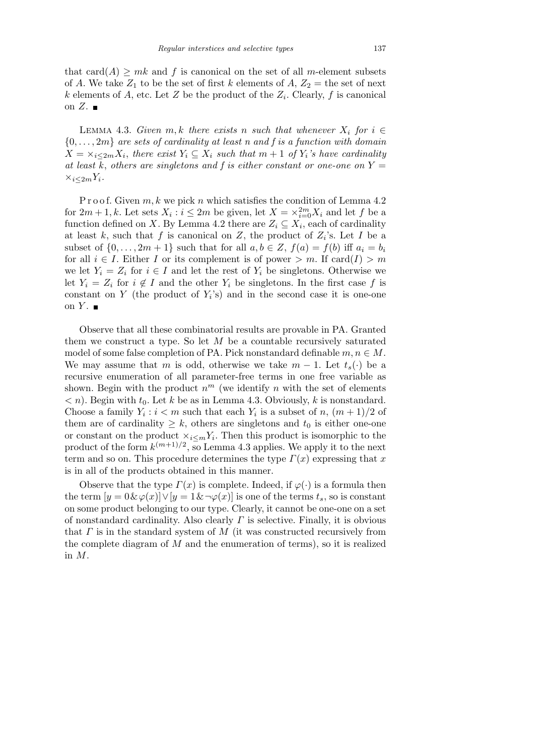that  $card(A) \geq mk$  and f is canonical on the set of all m-element subsets of *A*. We take  $Z_1$  to be the set of first *k* elements of  $A, Z_2 =$  the set of next *k* elements of *A*, etc. Let *Z* be the product of the  $Z_i$ . Clearly, *f* is canonical on  $Z$ .

LEMMA 4.3. *Given*  $m, k$  *there exists*  $n$  *such that whenever*  $X_i$  *for*  $i \in$  $\{0, \ldots, 2m\}$  *are sets of cardinality at least n and f is a function with domain*  $X = \times_{i \leq 2m} X_i$ , there exist  $Y_i \subseteq X_i$  such that  $m + 1$  of  $Y_i$ 's have cardinality *at least*  $\overline{k}$ , *others are singletons and f is either constant or one-one on*  $Y =$ *×i≤*2*mY<sup>i</sup> .*

P r o o f. Given  $m, k$  we pick  $n$  which satisfies the condition of Lemma 4.2 for  $2m + 1, k$ . Let sets  $X_i : i \leq 2m$  be given, let  $X = \times_{i=0}^{2m} X_i$  and let *f* be a function defined on *X*. By Lemma 4.2 there are  $Z_i \subseteq X_i$ , each of cardinality at least  $k$ , such that  $f$  is canonical on  $Z$ , the product of  $Z_i$ 's. Let  $I$  be a subset of  $\{0, \ldots, 2m+1\}$  such that for all  $a, b \in \mathbb{Z}$ ,  $f(a) = f(b)$  iff  $a_i = b_i$ for all  $i \in I$ . Either *I* or its complement is of power  $> m$ . If card $(I) > m$ we let  $Y_i = Z_i$  for  $i \in I$  and let the rest of  $Y_i$  be singletons. Otherwise we let  $Y_i = Z_i$  for  $i \notin I$  and the other  $Y_i$  be singletons. In the first case f is constant on  $Y$  (the product of  $Y_i$ 's) and in the second case it is one-one on  $Y$ .

Observe that all these combinatorial results are provable in PA. Granted them we construct a type. So let *M* be a countable recursively saturated model of some false completion of PA. Pick nonstandard definable  $m, n \in M$ . We may assume that *m* is odd, otherwise we take  $m-1$ . Let  $t_s(\cdot)$  be a recursive enumeration of all parameter-free terms in one free variable as shown. Begin with the product  $n^m$  (we identify  $n$  with the set of elements  $\langle n \rangle$ . Begin with  $t_0$ . Let *k* be as in Lemma 4.3. Obviously, *k* is nonstandard. Choose a family  $Y_i : i < m$  such that each  $Y_i$  is a subset of *n*,  $(m+1)/2$  of them are of cardinality  $\geq k$ , others are singletons and  $t_0$  is either one-one or constant on the product  $\times_{i \leq m} Y_i$ . Then this product is isomorphic to the product of the form  $k^{(m+1)/2}$ , so Lemma 4.3 applies. We apply it to the next term and so on. This procedure determines the type  $\Gamma(x)$  expressing that *x* is in all of the products obtained in this manner.

Observe that the type  $\Gamma(x)$  is complete. Indeed, if  $\varphi(\cdot)$  is a formula then the term  $[y = 0 \& \varphi(x)] \vee [y = 1 \& \neg \varphi(x)]$  is one of the terms  $t_s$ , so is constant on some product belonging to our type. Clearly, it cannot be one-one on a set of nonstandard cardinality. Also clearly *Γ* is selective. Finally, it is obvious that *Γ* is in the standard system of *M* (it was constructed recursively from the complete diagram of *M* and the enumeration of terms), so it is realized in *M*.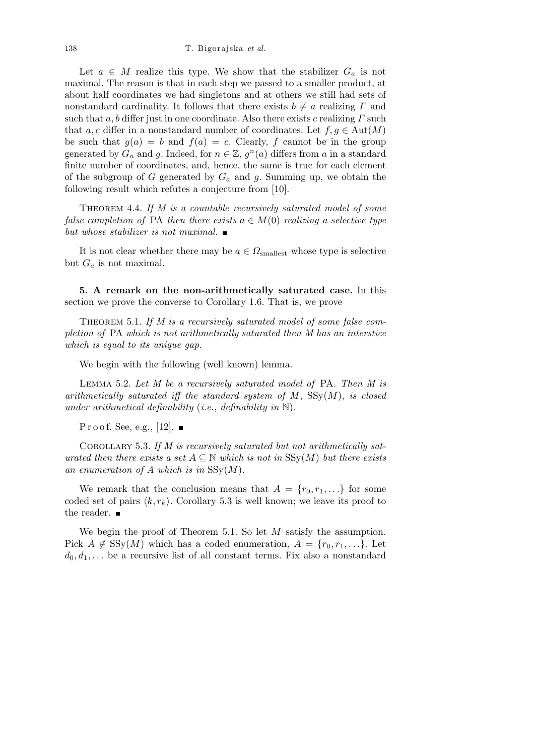Let  $a \in M$  realize this type. We show that the stabilizer  $G_a$  is not maximal. The reason is that in each step we passed to a smaller product, at about half coordinates we had singletons and at others we still had sets of nonstandard cardinality. It follows that there exists  $b \neq a$  realizing *Γ* and such that *a, b* differ just in one coordinate. Also there exists *c* realizing *Γ* such that *a*, *c* differ in a nonstandard number of coordinates. Let  $f, g \in Aut(M)$ be such that  $g(a) = b$  and  $f(a) = c$ . Clearly, f cannot be in the group generated by  $G_a$  and  $g$ . Indeed, for  $n \in \mathbb{Z}$ ,  $g^n(a)$  differs from  $a$  in a standard finite number of coordinates, and, hence, the same is true for each element of the subgroup of *G* generated by *G<sup>a</sup>* and *g*. Summing up, we obtain the following result which refutes a conjecture from [10].

THEOREM 4.4. If M is a countable recursively saturated model of some *false completion of* PA *then there exists*  $a \in M(0)$  *realizing* a *selective type but whose stabilizer is not maximal.*

It is not clear whether there may be  $a \in \Omega_{\text{smallest}}$  whose type is selective but  $G_a$  is not maximal.

**5. A remark on the non-arithmetically saturated case.** In this section we prove the converse to Corollary 1.6. That is, we prove

THEOREM 5.1. If M is a recursively saturated model of some false com*pletion of* PA *which is not arithmetically saturated then M has an interstice which is equal to its unique gap.*

We begin with the following (well known) lemma.

Lemma 5.2. *Let M be a recursively saturated model of* PA*. Then M is arithmetically saturated iff the standard system of M* , SSy(*M*), *is closed under arithmetical definability* (*i.e.*, *definability in* N)*.*

P r o o f. See, e.g., [12].  $\blacksquare$ 

Corollary 5.3. *If M is recursively saturated but not arithmetically saturated then there exists a set*  $A \subseteq \mathbb{N}$  *which is not in* SSy $(M)$  *but there exists an enumeration of A which is in* SSy(*M*)*.*

We remark that the conclusion means that  $A = \{r_0, r_1, \ldots\}$  for some coded set of pairs  $\langle k, r_k \rangle$ . Corollary 5.3 is well known; we leave its proof to the reader. ■

We begin the proof of Theorem 5.1. So let *M* satisfy the assumption. Pick  $A \notin \text{SSy}(M)$  which has a coded enumeration,  $A = \{r_0, r_1, \ldots\}$ . Let  $d_0, d_1, \ldots$  be a recursive list of all constant terms. Fix also a nonstandard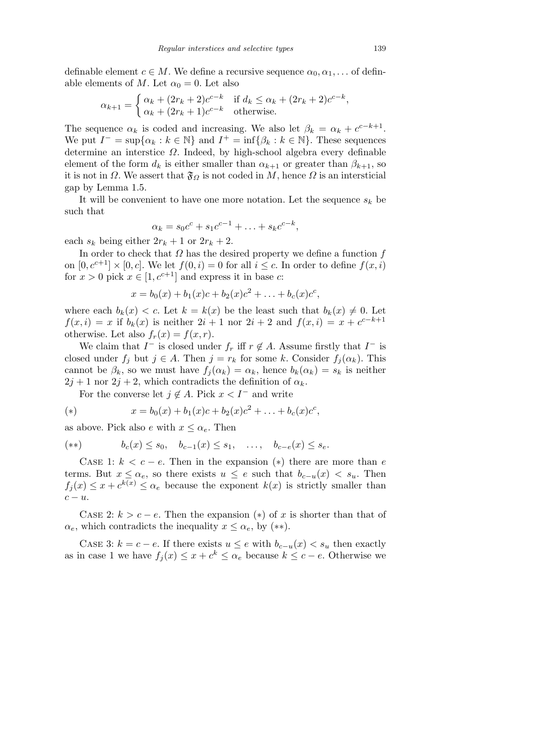definable element  $c \in M$ . We define a recursive sequence  $\alpha_0, \alpha_1, \ldots$  of definable elements of *M*. Let  $\alpha_0 = 0$ . Let also

$$
\alpha_{k+1} = \begin{cases} \alpha_k + (2r_k + 2)c^{c-k} & \text{if } d_k \le \alpha_k + (2r_k + 2)c^{c-k}, \\ \alpha_k + (2r_k + 1)c^{c-k} & \text{otherwise.} \end{cases}
$$

The sequence  $\alpha_k$  is coded and increasing. We also let  $\beta_k = \alpha_k + c^{c-k+1}$ . We put  $I^- = \sup\{\alpha_k : k \in \mathbb{N}\}\$  and  $I^+ = \inf\{\beta_k : k \in \mathbb{N}\}\$ . These sequences determine an interstice *Ω*. Indeed, by high-school algebra every definable element of the form  $d_k$  is either smaller than  $\alpha_{k+1}$  or greater than  $\beta_{k+1}$ , so it is not in  $\Omega$ . We assert that  $\mathfrak{F}_{\Omega}$  is not coded in  $M$ , hence  $\Omega$  is an intersticial gap by Lemma 1.5.

It will be convenient to have one more notation. Let the sequence  $s_k$  be such that

$$
\alpha_k = s_0 c^c + s_1 c^{c-1} + \ldots + s_k c^{c-k},
$$

each  $s_k$  being either  $2r_k + 1$  or  $2r_k + 2$ .

In order to check that *Ω* has the desired property we define a function *f* on  $[0, c^{c+1}] \times [0, c]$ . We let  $f(0, i) = 0$  for all  $i \leq c$ . In order to define  $f(x, i)$ for  $x > 0$  pick  $x \in [1, c^{c+1}]$  and express it in base *c*:

$$
x = b_0(x) + b_1(x)c + b_2(x)c^2 + \ldots + b_c(x)c^c,
$$

where each  $b_k(x) < c$ . Let  $k = k(x)$  be the least such that  $b_k(x) \neq 0$ . Let  $f(x, i) = x$  if  $b_k(x)$  is neither  $2i + 1$  nor  $2i + 2$  and  $f(x, i) = x + c^{c-k+1}$ otherwise. Let also  $f_r(x) = f(x, r)$ .

We claim that  $I^-$  is closed under  $f_r$  iff  $r \notin A$ . Assume firstly that  $I^-$  is closed under  $f_i$  but  $j \in A$ . Then  $j = r_k$  for some *k*. Consider  $f_i(\alpha_k)$ . This cannot be  $\beta_k$ , so we must have  $f_i(\alpha_k) = \alpha_k$ , hence  $b_k(\alpha_k) = s_k$  is neither  $2j + 1$  nor  $2j + 2$ , which contradicts the definition of  $\alpha_k$ .

For the converse let  $j \notin A$ . Pick  $x < I^-$  and write

(\*) 
$$
x = b_0(x) + b_1(x)c + b_2(x)c^2 + \ldots + b_c(x)c^c,
$$

as above. Pick also *e* with  $x \leq \alpha_e$ . Then

$$
(**) \t b_c(x) \le s_0, \t b_{c-1}(x) \le s_1, \t \ldots, \t b_{c-e}(x) \le s_e.
$$

CASE 1:  $k < c - e$ . Then in the expansion (\*) there are more than *e* terms. But  $x \leq \alpha_e$ , so there exists  $u \leq e$  such that  $b_{c-u}(x) < s_u$ . Then  $f_j(x) \leq x + c^{k(x)} \leq \alpha_e$  because the exponent  $k(x)$  is strictly smaller than *c − u*.

CASE 2:  $k > c - e$ . Then the expansion (\*) of *x* is shorter than that of  $\alpha_e$ , which contradicts the inequality  $x \leq \alpha_e$ , by (\*\*).

CASE 3:  $k = c - e$ . If there exists  $u \leq e$  with  $b_{c-u}(x) < s_u$  then exactly as in case 1 we have  $f_j(x) \leq x + c^k \leq \alpha_e$  because  $k \leq c - e$ . Otherwise we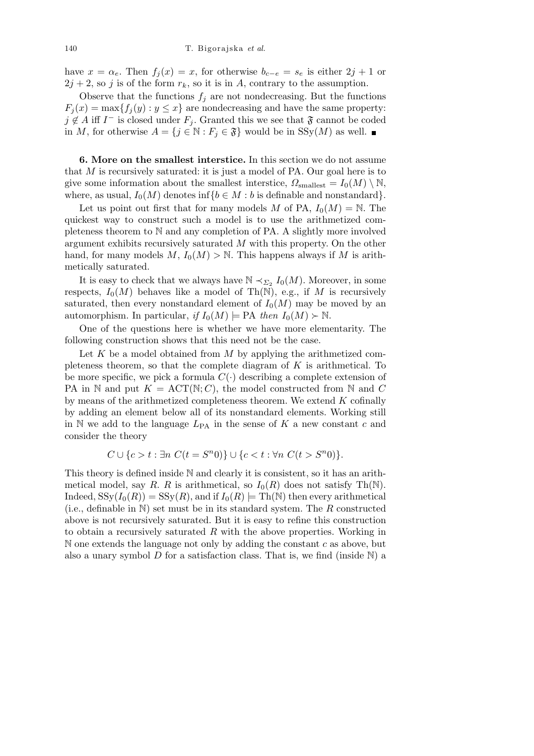have  $x = \alpha_e$ . Then  $f_i(x) = x$ , for otherwise  $b_{c-e} = s_e$  is either  $2j + 1$  or  $2j + 2$ , so *j* is of the form  $r_k$ , so it is in *A*, contrary to the assumption.

Observe that the functions  $f_i$  are not nondecreasing. But the functions  $F_j(x) = \max\{f_j(y) : y \leq x\}$  are nondecreasing and have the same property: *j* ∉ *A* iff *I*<sup>−</sup> is closed under  $F_j$ . Granted this we see that  $\mathfrak{F}$  cannot be coded in *M*, for otherwise *A* = {*j* ∈  $\mathbb{N}$  : *F<sub>j</sub>* ∈  $\mathfrak{F}$ } would be in SSy(*M*) as well. ■

**6. More on the smallest interstice.** In this section we do not assume that *M* is recursively saturated: it is just a model of PA. Our goal here is to give some information about the smallest interstice,  $\Omega_{\text{smallest}} = I_0(M) \setminus \mathbb{N}$ , where, as usual,  $I_0(M)$  denotes inf ${b \in M : b}$  is definable and nonstandard.

Let us point out first that for many models *M* of PA,  $I_0(M) = N$ . The quickest way to construct such a model is to use the arithmetized completeness theorem to N and any completion of PA. A slightly more involved argument exhibits recursively saturated *M* with this property. On the other hand, for many models  $M$ ,  $I_0(M) > \mathbb{N}$ . This happens always if  $M$  is arithmetically saturated.

It is easy to check that we always have  $\mathbb{N} \prec_{\Sigma_2} I_0(M)$ . Moreover, in some respects,  $I_0(M)$  behaves like a model of Th(N), e.g., if M is recursively saturated, then every nonstandard element of  $I_0(M)$  may be moved by an automorphism. In particular, *if*  $I_0(M) \models \text{PA}$  *then*  $I_0(M) \succ \mathbb{N}$ .

One of the questions here is whether we have more elementarity. The following construction shows that this need not be the case.

Let *K* be a model obtained from *M* by applying the arithmetized completeness theorem, so that the complete diagram of *K* is arithmetical. To be more specific, we pick a formula  $C(\cdot)$  describing a complete extension of PA in N and put  $K = ACT(N; C)$ , the model constructed from N and C by means of the arithmetized completeness theorem. We extend *K* cofinally by adding an element below all of its nonstandard elements. Working still in  $\mathbb N$  we add to the language  $L_{\text{PA}}$  in the sense of  $K$  a new constant  $c$  and consider the theory

$$
C \cup \{c > t : \exists n \ C(t = S^n 0) \} \cup \{c < t : \forall n \ C(t > S^n 0) \}.
$$

This theory is defined inside N and clearly it is consistent, so it has an arithmetical model, say *R*. *R* is arithmetical, so  $I_0(R)$  does not satisfy Th(N). Indeed,  $SSy(I_0(R)) = SSy(R)$ , and if  $I_0(R) \models Th(N)$  then every arithmetical (i.e., definable in N) set must be in its standard system. The *R* constructed above is not recursively saturated. But it is easy to refine this construction to obtain a recursively saturated *R* with the above properties. Working in N one extends the language not only by adding the constant *c* as above, but also a unary symbol  $D$  for a satisfaction class. That is, we find (inside  $N$ ) a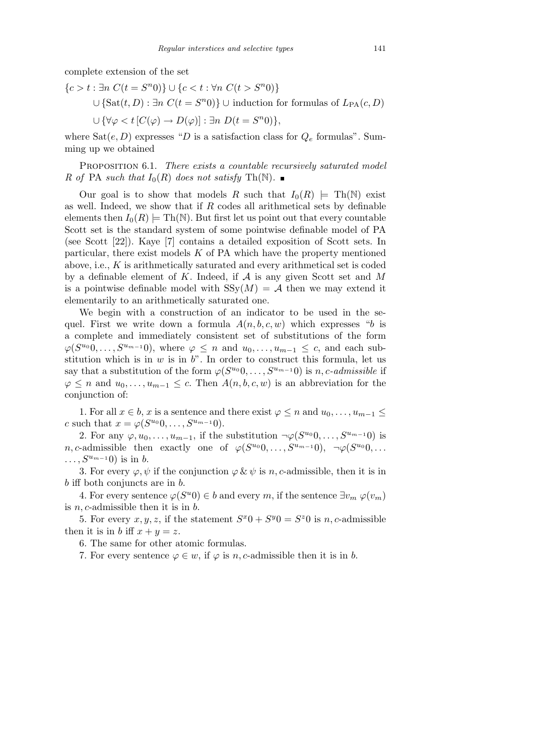complete extension of the set

*{c > t* : *∃n C*(*t* = *S n* 0)*} ∪ {c < t* : *∀n C*(*t > S<sup>n</sup>* 0)*} ∪* {Sat $(t, D)$ : *∃n*  $C(t = S<sup>n</sup>0)$ } ∪ induction for formulas of  $L_{PA}(c, D)$  $∪$  { $\forall \varphi < t$  [ $C(\varphi)$  →  $D(\varphi)$ ] : *∃n*  $D(t = S^n 0)$ }*,* 

where  $Sat(e, D)$  expresses "*D* is a satisfaction class for  $Q_e$  formulas". Summing up we obtained

Proposition 6.1. *There exists a countable recursively saturated model R* of PA *such that*  $I_0(R)$  *does not satisfy* Th(N).

Our goal is to show that models *R* such that  $I_0(R)$   $\models$  Th(N) exist as well. Indeed, we show that if *R* codes all arithmetical sets by definable elements then  $I_0(R) \models Th(N)$ . But first let us point out that every countable Scott set is the standard system of some pointwise definable model of PA (see Scott [22]). Kaye [7] contains a detailed exposition of Scott sets. In particular, there exist models *K* of PA which have the property mentioned above, i.e., *K* is arithmetically saturated and every arithmetical set is coded by a definable element of *K*. Indeed, if *A* is any given Scott set and *M* is a pointwise definable model with  $SSy(M) = A$  then we may extend it elementarily to an arithmetically saturated one.

We begin with a construction of an indicator to be used in the sequel. First we write down a formula  $A(n, b, c, w)$  which expresses "*b* is a complete and immediately consistent set of substitutions of the form  $\varphi(S^{u_0}0, \ldots, S^{u_{m-1}0})$ , where  $\varphi \leq n$  and  $u_0, \ldots, u_{m-1} \leq c$ , and each substitution which is in *w* is in *b*". In order to construct this formula, let us say that a substitution of the form  $\varphi(S^{u_0}0, \ldots, S^{u_{m-1}}0)$  is *n*, *c*-admissible if  $\varphi$  ≤ *n* and  $u_0, \ldots, u_{m-1}$  ≤ *c*. Then *A*(*n, b, c, w*) is an abbreviation for the conjunction of:

1. For all  $x \in b$ ,  $x$  is a sentence and there exist  $\varphi \leq n$  and  $u_0, \ldots, u_{m-1} \leq$  $c \text{ such that } x = \varphi(S^{u_0}0, \ldots, S^{u_{m-1}}0).$ 

2. For any  $\varphi, u_0, \ldots, u_{m-1}$ , if the substitution  $\neg \varphi(S^{u_0}0, \ldots, S^{u_{m-1}}0)$  is *n, c*-admissible then exactly one of  $\varphi(S^{u_0}0, \ldots, S^{u_{m-1}}0)$ ,  $\neg \varphi(S^{u_0}0, \ldots)$ *. . . , S<sup>u</sup>m−*<sup>1</sup> 0) is in *b*.

3. For every  $\varphi, \psi$  if the conjunction  $\varphi \& \psi$  is *n*, *c*-admissible, then it is in *b* iff both conjuncts are in *b*.

4. For every sentence  $\varphi(S^u0) \in b$  and every *m*, if the sentence  $\exists v_m \; \varphi(v_m)$ is *n, c*-admissible then it is in *b*.

5. For every  $x, y, z$ , if the statement  $S^x0 + S^y0 = S^z0$  is *n*, *c*-admissible then it is in *b* iff  $x + y = z$ .

6. The same for other atomic formulas.

7. For every sentence  $\varphi \in w$ , if  $\varphi$  is *n*, *c*-admissible then it is in *b*.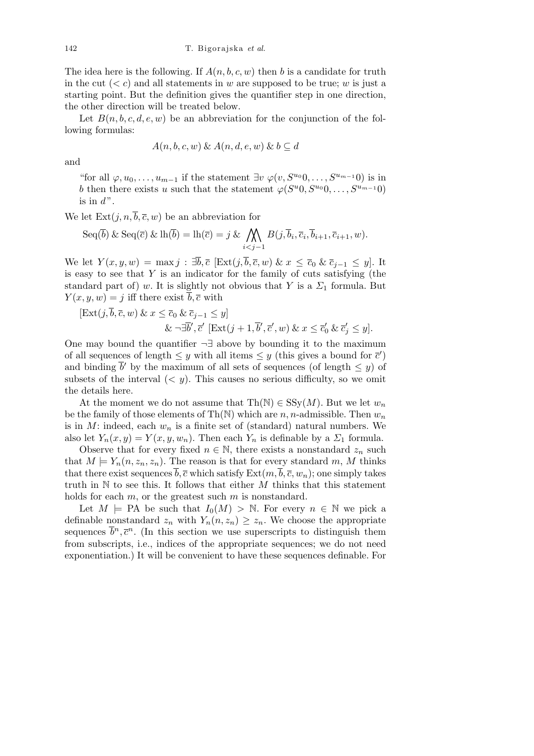The idea here is the following. If  $A(n, b, c, w)$  then *b* is a candidate for truth in the cut  $(< c)$  and all statements in *w* are supposed to be true; *w* is just a starting point. But the definition gives the quantifier step in one direction, the other direction will be treated below.

Let  $B(n, b, c, d, e, w)$  be an abbreviation for the conjunction of the following formulas:

$$
A(n, b, c, w) \& A(n, d, e, w) \& b \subseteq d
$$

and

"for all  $\varphi, u_0, \ldots, u_{m-1}$  if the statement  $\exists v \varphi(v, S^{u_0}0, \ldots, S^{u_{m-1}}0)$  is in *b* then there exists *u* such that the statement  $\varphi(S^u 0, S^{u_0} 0, \ldots, S^{u_{m-1}} 0)$ is in  $d$ ".

We let  $Ext(j, n, \overline{b}, \overline{c}, w)$  be an abbreviation for

Seq(
$$
\overline{b}
$$
) & Seq( $\overline{c}$ ) & In( $\overline{b}$ ) = In( $\overline{c}$ ) =  $j$  &  $\bigwedge_{i < j-1} B(j, \overline{b}_i, \overline{c}_i, \overline{b}_{i+1}, \overline{c}_{i+1}, w)$ .

We let  $Y(x, y, w) = \max j : \exists \overline{b}, \overline{c} \ [\text{Ext}(j, \overline{b}, \overline{c}, w) \ \& \ x \leq \overline{c}_0 \ \& \ \overline{c}_{i-1} \leq y].$  It is easy to see that *Y* is an indicator for the family of cuts satisfying (the standard part of) *w*. It is slightly not obvious that *Y* is a  $\Sigma_1$  formula. But  $Y(x, y, w) = j$  iff there exist  $\overline{b}, \overline{c}$  with

$$
[\text{Ext}(j,\overline{b},\overline{c},w) \& x \leq \overline{c}_0 \& \overline{c}_{j-1} \leq y] \& \neg \exists \overline{b}', \overline{c}' [\text{Ext}(j+1,\overline{b}',\overline{c}',w) \& x \leq \overline{c}'_0 \& \overline{c}'_j \leq y].
$$

One may bound the quantifier *¬∃* above by bounding it to the maximum of all sequences of length  $\leq y$  with all items  $\leq y$  (this gives a bound for  $\bar{c}'$ ) and binding  $\overline{b}'$  by the maximum of all sets of sequences (of length  $\leq y$ ) of subsets of the interval  $( $y$ ). This causes no serious difficulty, so we omit$ the details here.

At the moment we do not assume that  $Th(N) \in \text{SSy}(M)$ . But we let  $w_n$ be the family of those elements of  $\text{Th}(\mathbb{N})$  which are *n*, *n*-admissible. Then  $w_n$ is in  $M$ : indeed, each  $w_n$  is a finite set of (standard) natural numbers. We also let  $Y_n(x, y) = Y(x, y, w_n)$ . Then each  $Y_n$  is definable by a  $\Sigma_1$  formula.

Observe that for every fixed  $n \in \mathbb{N}$ , there exists a nonstandard  $z_n$  such that  $M \models Y_n(n, z_n, z_n)$ . The reason is that for every standard m, M thinks that there exist sequences *b*,  $\bar{c}$  which satisfy  $Ext(m, b, \bar{c}, w_n)$ ; one simply takes truth in N to see this. It follows that either *M* thinks that this statement holds for each *m*, or the greatest such *m* is nonstandard.

Let  $M \models$  PA be such that  $I_0(M) > \mathbb{N}$ . For every  $n \in \mathbb{N}$  we pick a definable nonstandard  $z_n$  with  $Y_n(n, z_n) \geq z_n$ . We choose the appropriate sequences  $\bar{b}^n, \bar{c}^n$ . (In this section we use superscripts to distinguish them from subscripts, i.e., indices of the appropriate sequences; we do not need exponentiation.) It will be convenient to have these sequences definable. For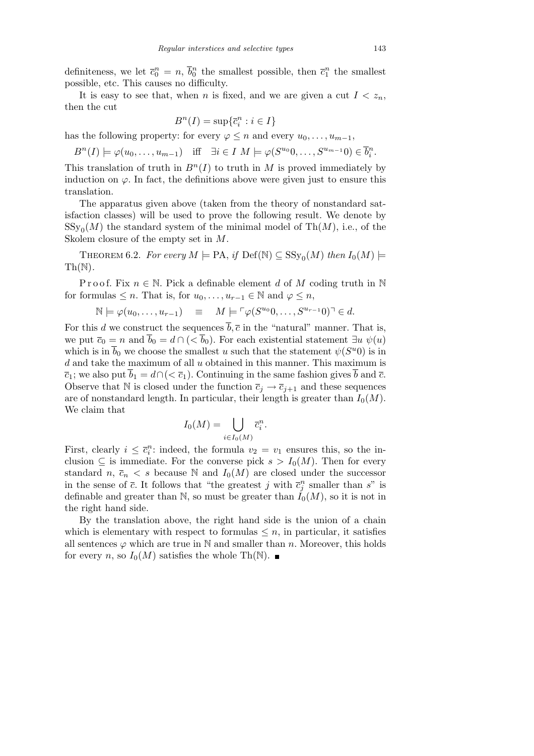definiteness, we let  $\bar{c}_0^n = n$ ,  $\bar{b}_0^n$  the smallest possible, then  $\bar{c}_1^n$  the smallest possible, etc. This causes no difficulty.

It is easy to see that, when *n* is fixed, and we are given a cut  $I < z_n$ , then the cut

$$
B^n(I) = \sup \{ \overline{c}_i^n : i \in I \}
$$

has the following property: for every  $\varphi \leq n$  and every  $u_0, \ldots, u_{m-1}$ ,

$$
B^{n}(I) \models \varphi(u_0, \dots, u_{m-1}) \quad \text{iff} \quad \exists i \in I \ M \models \varphi(S^{u_0}0, \dots, S^{u_{m-1}}0) \in \overline{b_i^n}.
$$

This translation of truth in  $B<sup>n</sup>(I)$  to truth in *M* is proved immediately by induction on  $\varphi$ . In fact, the definitions above were given just to ensure this translation.

The apparatus given above (taken from the theory of nonstandard satisfaction classes) will be used to prove the following result. We denote by  $SSy_0(M)$  the standard system of the minimal model of Th $(M)$ , i.e., of the Skolem closure of the empty set in *M*.

THEOREM 6.2. *For every*  $M \models PA$ , *if*  $Def(N) \subseteq SSy_0(M)$  *then*  $I_0(M) \models$  $Th(N)$ .

Proof. Fix  $n \in \mathbb{N}$ . Pick a definable element *d* of *M* coding truth in  $\mathbb{N}$ for formulas  $\leq n$ . That is, for  $u_0, \ldots, u_{r-1} \in \mathbb{N}$  and  $\varphi \leq n$ ,

$$
\mathbb{N} \models \varphi(u_0, \dots, u_{r-1}) \quad \equiv \quad M \models \ulcorner \varphi(S^{u_0}0, \dots, S^{u_{r-1}}0) \urcorner \in d.
$$

For this *d* we construct the sequences  $\overline{b}, \overline{c}$  in the "natural" manner. That is, we put  $\overline{c}_0 = n$  and  $\overline{b}_0 = d \cap (\langle \overline{b}_0 \rangle)$ . For each existential statement  $\exists u \psi(u)$ which is in  $\overline{b}_0$  we choose the smallest *u* such that the statement  $\psi(S^u 0)$  is in *d* and take the maximum of all *u* obtained in this manner. This maximum is  $\overline{c}_1$ ; we also put  $\overline{b}_1 = d \cap (\langle \overline{c}_1 \rangle)$ . Continuing in the same fashion gives  $\overline{b}$  and  $\overline{c}$ . Observe that N is closed under the function  $\overline{c}_j \rightarrow \overline{c}_{j+1}$  and these sequences are of nonstandard length. In particular, their length is greater than  $I_0(M)$ . We claim that

$$
I_0(M) = \bigcup_{i \in I_0(M)} \overline{c}_i^n.
$$

First, clearly  $i \leq \overline{c}_i^n$ : indeed, the formula  $v_2 = v_1$  ensures this, so the inclusion  $\subseteq$  is immediate. For the converse pick  $s > I_0(M)$ . Then for every standard *n*,  $\overline{c}_n < s$  because N and  $I_0(M)$  are closed under the successor in the sense of  $\bar{c}$ . It follows that "the greatest *j* with  $\bar{c}_j^n$  smaller than *s*" is definable and greater than  $\mathbb{N}$ , so must be greater than  $I_0(M)$ , so it is not in the right hand side.

By the translation above, the right hand side is the union of a chain which is elementary with respect to formulas  $\leq n$ , in particular, it satisfies all sentences  $\varphi$  which are true in N and smaller than *n*. Moreover, this holds for every *n*, so  $I_0(M)$  satisfies the whole Th(N).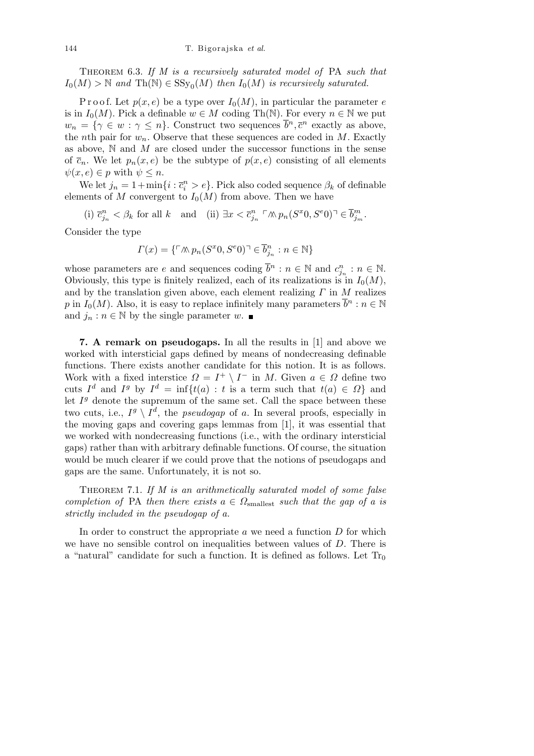Theorem 6.3. *If M is a recursively saturated model of* PA *such that*  $I_0(M) > \mathbb{N}$  and  $\text{Th}(\mathbb{N}) \in \text{SSy}_0(M)$  then  $I_0(M)$  is recursively saturated.

P r o o f. Let  $p(x, e)$  be a type over  $I_0(M)$ , in particular the parameter *e* is in  $I_0(M)$ . Pick a definable  $w \in M$  coding Th(N). For every  $n \in \mathbb{N}$  we put  $w_n = \{ \gamma \in w : \gamma \leq n \}.$  Construct two sequences  $\overline{b}^n, \overline{c}^n$  exactly as above, the *n*th pair for  $w_n$ . Observe that these sequences are coded in  $M$ . Exactly as above, N and *M* are closed under the successor functions in the sense of  $\overline{c}_n$ . We let  $p_n(x, e)$  be the subtype of  $p(x, e)$  consisting of all elements  $\psi(x, e) \in p$  with  $\psi \leq n$ .

We let  $j_n = 1 + \min\{i : \overline{c}_i^n > e\}$ . Pick also coded sequence  $\beta_k$  of definable elements of *M* convergent to  $I_0(M)$  from above. Then we have

(i)  $\bar{c}_{j_n}^n < \beta_k$  for all k and (ii)  $\exists x < \bar{c}_{j_n}^n \upharpoonright \wedge p_n(S^x 0, S^e 0) \uparrow \in \overline{b}_{j_m}^m$ .

Consider the type

$$
\Gamma(x) = \{ \ulcorner \land\!\!\!\land p_n(S^x 0, S^e 0) \urcorner \in \overline{b}^n_{j_n} : n \in \mathbb{N} \}
$$

whose parameters are *e* and sequences coding  $\overline{b}^n : n \in \mathbb{N}$  and  $c_{j_n}^n : n \in \mathbb{N}$ . Obviously, this type is finitely realized, each of its realizations is in  $I_0(M)$ , and by the translation given above, each element realizing *Γ* in *M* realizes *p* in *I*<sub>0</sub>(*M*). Also, it is easy to replace infinitely many parameters  $\overline{b}^n : n \in \mathbb{N}$ and  $j_n : n \in \mathbb{N}$  by the single parameter  $w$ .

**7. A remark on pseudogaps.** In all the results in [1] and above we worked with intersticial gaps defined by means of nondecreasing definable functions. There exists another candidate for this notion. It is as follows. Work with a fixed interstice  $\Omega = I^+ \setminus I^-$  in *M*. Given  $a \in \Omega$  define two cuts  $I^d$  and  $I^g$  by  $I^d = \inf\{t(a) : t \text{ is a term such that } t(a) \in \Omega\}$  and let  $I<sup>g</sup>$  denote the supremum of the same set. Call the space between these two cuts, i.e.,  $I^g \setminus I^d$ , the *pseudogap* of *a*. In several proofs, especially in the moving gaps and covering gaps lemmas from [1], it was essential that we worked with nondecreasing functions (i.e., with the ordinary intersticial gaps) rather than with arbitrary definable functions. Of course, the situation would be much clearer if we could prove that the notions of pseudogaps and gaps are the same. Unfortunately, it is not so.

Theorem 7.1. *If M is an arithmetically saturated model of some false completion of* PA *then there exists*  $a \in \Omega_{\text{smallest}}$  *such that the gap of a is strictly included in the pseudogap of a.*

In order to construct the appropriate *a* we need a function *D* for which we have no sensible control on inequalities between values of *D*. There is a "natural" candidate for such a function. It is defined as follows. Let  $Tr_0$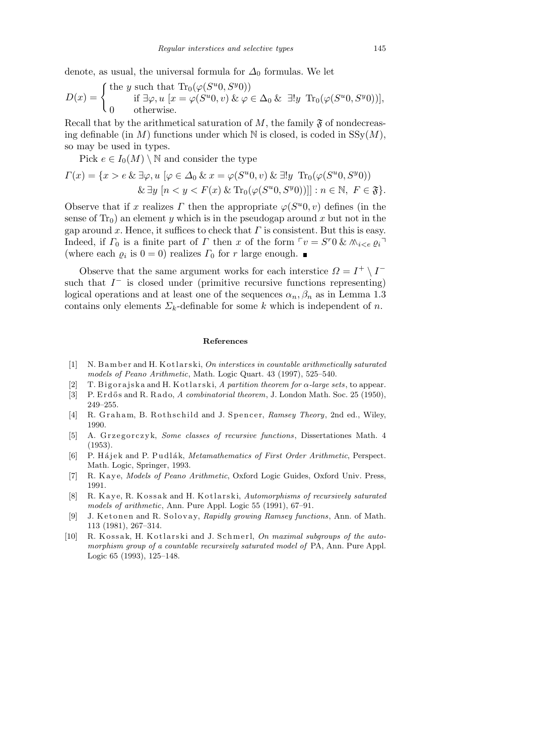denote, as usual, the universal formula for  $\Delta_0$  formulas. We let

$$
D(x) = \begin{cases} \text{the } y \text{ such that } \text{Tr}_0(\varphi(S^u 0, S^y 0)) \\ \text{if } \exists \varphi, u \ [x = \varphi(S^u 0, v) \ \& \ \varphi \in \Delta_0 \ \& \ \exists! y \ \text{Tr}_0(\varphi(S^u 0, S^y 0))], \\ 0 \qquad \text{otherwise.} \end{cases}
$$

Recall that by the arithmetical saturation of  $M$ , the family  $\mathfrak{F}$  of nondecreasing definable (in *M*) functions under which  $N$  is closed, is coded in  $SSy(M)$ , so may be used in types.

Pick  $e \in I_0(M) \setminus \mathbb{N}$  and consider the type

$$
\Gamma(x) = \{x > e \& \exists \varphi, u \ [\varphi \in \Delta_0 \& x = \varphi(S^u 0, v) \& \exists! y \ \text{Tr}_0(\varphi(S^u 0, S^y 0))
$$
  

$$
\& \exists y \ [n < y < F(x) \& \text{Tr}_0(\varphi(S^u 0, S^y 0))]] : n \in \mathbb{N}, \ F \in \mathfrak{F}\}.
$$

Observe that if *x* realizes *Γ* then the appropriate  $\varphi(S^u, v)$  defines (in the sense of  $Tr_0$ ) an element *y* which is in the pseudogap around *x* but not in the gap around *x*. Hence, it suffices to check that  $\Gamma$  is consistent. But this is easy. Indeed, if  $\Gamma_0$  is a finite part of  $\Gamma$  then  $x$  of the form  $\Gamma v = S^r 0 \& \wedge_i \& i \in \varrho_i$ (where each  $\varrho_i$  is  $0 = 0$ ) realizes  $\Gamma_0$  for  $r$  large enough.

Observe that the same argument works for each interstice  $\Omega = I^+ \setminus I^$ such that  $I^-$  is closed under (primitive recursive functions representing) logical operations and at least one of the sequences  $\alpha_n, \beta_n$  as in Lemma 1.3 contains only elements  $\Sigma_k$ -definable for some *k* which is independent of *n*.

## **References**

- [1] N. B am ber and H. K otlarski, *On interstices in countable arithmetically saturated models of Peano Arithmetic*, Math. Logic Quart. 43 (1997), 525–540.
- [2] T. Big or a jsk a and H. K otlarski, *A partition theorem for α-large sets*, to appear.
- [3] P. Erdős and R. Rado, *A combinatorial theorem*, J. London Math. Soc. 25 (1950), 249–255.
- [4] R. Graham, B. Rothschild and J. Spencer, *Ramsey Theory*, 2nd ed., Wiley, 1990.
- [5] A. Grzegorczyk, *Some classes of recursive functions*, Dissertationes Math. 4 (1953).
- [6] P. Hájek and P. Pudlák, *Metamathematics of First Order Arithmetic*, Perspect. Math. Logic, Springer, 1993.
- [7] R. Kaye, *Models of Peano Arithmetic*, Oxford Logic Guides, Oxford Univ. Press, 1991.
- [8] R. Kaye, R. Kossak and H. Kotlarski, *Automorphisms of recursively saturated models of arithmetic*, Ann. Pure Appl. Logic 55 (1991), 67–91.
- [9] J. Ketonen and R. Solovay, *Rapidly growing Ramsey functions*, Ann. of Math. 113 (1981), 267–314.
- [10] R. Kossak, H. Kotlarski and J. Schmerl, *On maximal subgroups of the automorphism group of a countable recursively saturated model of* PA, Ann. Pure Appl. Logic 65 (1993), 125–148.